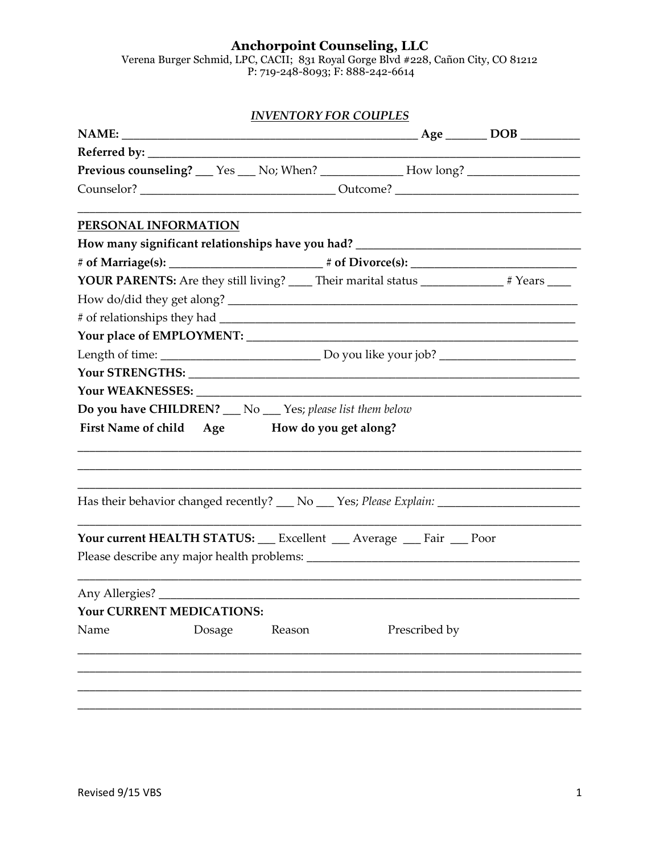Anchorpoint Counseling, LLC<br>Verena Burger Schmid, LPC, CACII; 831 Royal Gorge Blvd #228, Cañon City, CO 81212<br>P: 719-248-8093; F: 888-242-6614

|                |                           | <b>INVENTORY FOR COUPLES</b>                               |                                                                                             |  |  |  |  |
|----------------|---------------------------|------------------------------------------------------------|---------------------------------------------------------------------------------------------|--|--|--|--|
|                |                           |                                                            |                                                                                             |  |  |  |  |
|                |                           |                                                            |                                                                                             |  |  |  |  |
|                |                           |                                                            | Previous counseling? __ Yes __ No; When? ____________ How long? ________________            |  |  |  |  |
|                |                           |                                                            |                                                                                             |  |  |  |  |
|                | PERSONAL INFORMATION      |                                                            |                                                                                             |  |  |  |  |
|                |                           |                                                            |                                                                                             |  |  |  |  |
|                |                           |                                                            |                                                                                             |  |  |  |  |
|                |                           |                                                            | YOUR PARENTS: Are they still living? _____ Their marital status ______________ # Years ____ |  |  |  |  |
|                |                           |                                                            |                                                                                             |  |  |  |  |
|                |                           |                                                            |                                                                                             |  |  |  |  |
|                |                           |                                                            |                                                                                             |  |  |  |  |
|                |                           |                                                            |                                                                                             |  |  |  |  |
|                |                           |                                                            |                                                                                             |  |  |  |  |
|                |                           |                                                            |                                                                                             |  |  |  |  |
|                |                           | Do you have CHILDREN? __ No __ Yes; please list them below |                                                                                             |  |  |  |  |
|                |                           | First Name of child Age How do you get along?              |                                                                                             |  |  |  |  |
|                |                           |                                                            |                                                                                             |  |  |  |  |
|                |                           |                                                            |                                                                                             |  |  |  |  |
|                |                           |                                                            |                                                                                             |  |  |  |  |
|                |                           |                                                            |                                                                                             |  |  |  |  |
|                |                           |                                                            |                                                                                             |  |  |  |  |
|                |                           |                                                            | Your current HEALTH STATUS: __ Excellent __ Average __ Fair __ Poor                         |  |  |  |  |
|                |                           |                                                            |                                                                                             |  |  |  |  |
|                |                           |                                                            |                                                                                             |  |  |  |  |
| Any Allergies? |                           |                                                            |                                                                                             |  |  |  |  |
|                | Your CURRENT MEDICATIONS: |                                                            |                                                                                             |  |  |  |  |
| Name           | Dosage                    | Reason                                                     | Prescribed by                                                                               |  |  |  |  |
|                |                           |                                                            |                                                                                             |  |  |  |  |
|                |                           |                                                            |                                                                                             |  |  |  |  |
|                |                           |                                                            |                                                                                             |  |  |  |  |
|                |                           |                                                            |                                                                                             |  |  |  |  |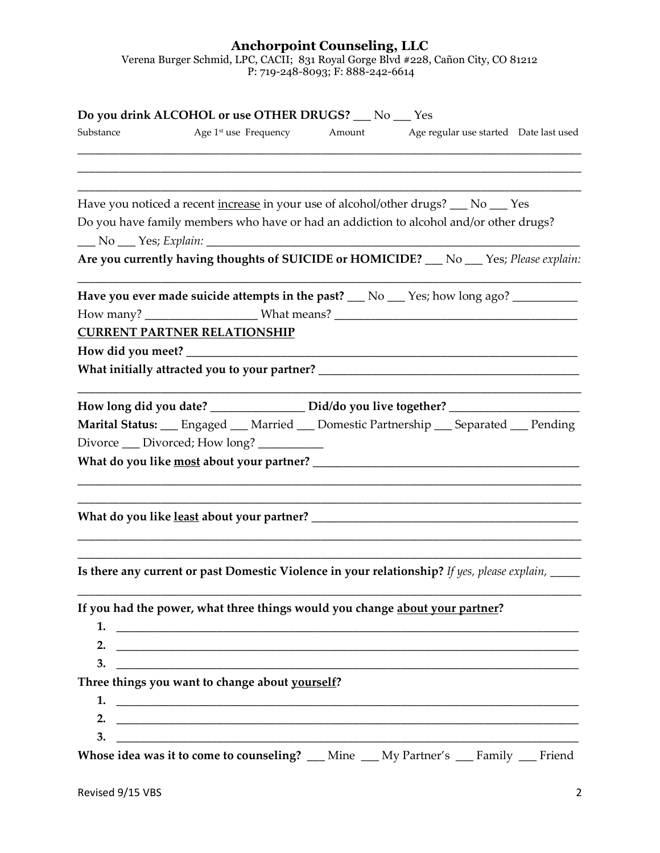## **Anchorpoint Counseling, LLC** Verena Burger Schmid, LPC, CACII; 831 Royal Gorge Blvd #228, Cañon City, CO 81212 P: 719-248-8093; F: 888-242-6614

| Substance | Do you drink ALCOHOL or use OTHER DRUGS? __ No __ Yes                                                         | Age 1 <sup>st</sup> use Frequency Amount Age regular use started Date last used |  |
|-----------|---------------------------------------------------------------------------------------------------------------|---------------------------------------------------------------------------------|--|
|           |                                                                                                               |                                                                                 |  |
|           | Have you noticed a recent increase in your use of alcohol/other drugs? __ No __ Yes                           |                                                                                 |  |
|           | Do you have family members who have or had an addiction to alcohol and/or other drugs?                        |                                                                                 |  |
|           | Are you currently having thoughts of SUICIDE or HOMICIDE? __ No __ Yes; Please explain:                       |                                                                                 |  |
|           | Have you ever made suicide attempts in the past? $\_\_$ No $\_\_$ Yes; how long ago? $\_\_$                   |                                                                                 |  |
|           |                                                                                                               |                                                                                 |  |
|           | <b>CURRENT PARTNER RELATIONSHIP</b>                                                                           |                                                                                 |  |
|           |                                                                                                               |                                                                                 |  |
|           |                                                                                                               |                                                                                 |  |
|           | How long did you date? _________________ Did/do you live together? ______________                             |                                                                                 |  |
|           | Marital Status: __ Engaged __ Married __ Domestic Partnership __ Separated __ Pending                         |                                                                                 |  |
|           | Divorce __ Divorced; How long? _________                                                                      |                                                                                 |  |
|           |                                                                                                               |                                                                                 |  |
|           |                                                                                                               |                                                                                 |  |
|           |                                                                                                               |                                                                                 |  |
|           | Is there any current or past Domestic Violence in your relationship? If yes, please explain, ____             |                                                                                 |  |
|           |                                                                                                               |                                                                                 |  |
|           | If you had the power, what three things would you change about your partner?                                  |                                                                                 |  |
| 1.        |                                                                                                               |                                                                                 |  |
|           |                                                                                                               |                                                                                 |  |
| 3.        | <u> 2000 - Januar Alexander (h. 1888).</u><br>1900 - Januar Barristo, frantziar martxartean artean (h. 1800). |                                                                                 |  |
|           | Three things you want to change about yourself?                                                               |                                                                                 |  |
| 1.        |                                                                                                               |                                                                                 |  |
| 2.        |                                                                                                               |                                                                                 |  |
| 3.        |                                                                                                               |                                                                                 |  |
|           | Whose idea was it to come to counseling? __ Mine __ My Partner's __ Family __ Friend                          |                                                                                 |  |